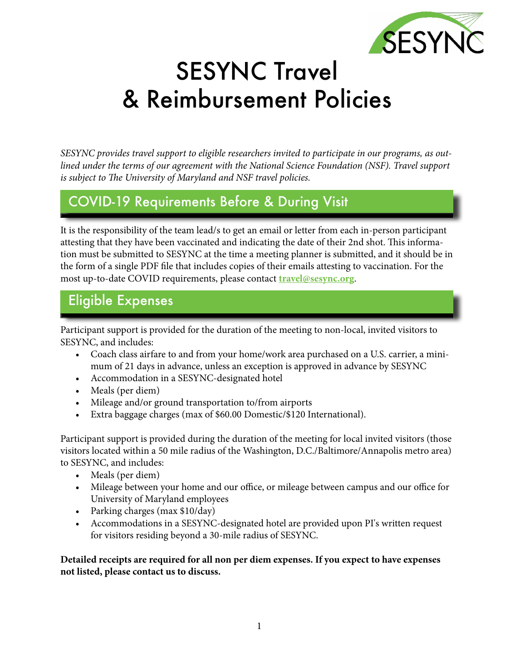

# SESYNC Travel & Reimbursement Policies

*SESYNC provides travel support to eligible researchers invited to participate in our programs, as outlined under the terms of our agreement with the National Science Foundation (NSF). Travel support is subject to The University of Maryland and NSF travel policies.* 

# COVID-19 Requirements Before & During Visit

It is the responsibility of the team lead/s to get an email or letter from each in-person participant attesting that they have been vaccinated and indicating the date of their 2nd shot. This information must be submitted to SESYNC at the time a meeting planner is submitted, and it should be in the form of a single PDF file that includes copies of their emails attesting to vaccination. For the most up-to-date COVID requirements, please contact **[travel@sesync.org](mailto:travel%40sesync.org?subject=)**.

# Eligible Expenses

Participant support is provided for the duration of the meeting to non-local, invited visitors to SESYNC, and includes:

- Coach class airfare to and from your home/work area purchased on a U.S. carrier, a minimum of 21 days in advance, unless an exception is approved in advance by SESYNC
- Accommodation in a SESYNC-designated hotel
- Meals (per diem)
- Mileage and/or ground transportation to/from airports
- Extra baggage charges (max of \$60.00 Domestic/\$120 International).

Participant support is provided during the duration of the meeting for local invited visitors (those visitors located within a 50 mile radius of the Washington, D.C./Baltimore/Annapolis metro area) to SESYNC, and includes:

- Meals (per diem)
- Mileage between your home and our office, or mileage between campus and our office for University of Maryland employees
- Parking charges (max \$10/day)
- Accommodations in a SESYNC-designated hotel are provided upon PI's written request for visitors residing beyond a 30-mile radius of SESYNC.

**Detailed receipts are required for all non per diem expenses. If you expect to have expenses not listed, please contact us to discuss.**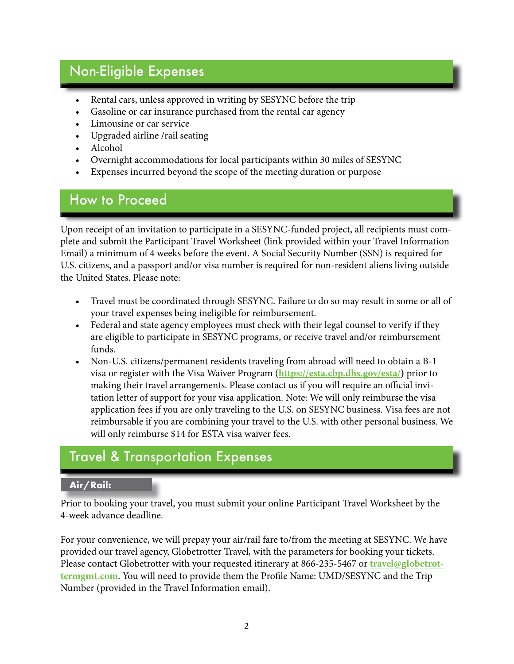# Non-Eligible Expenses **Austral**

- Rental cars, unless approved in writing by SESYNC before the trip
- Gasoline or car insurance purchased from the rental car agency
- Limousine or car service
- Upgraded airline /rail seating
- Alcohol
- Overnight accommodations for local participants within 30 miles of SESYNC
- Expenses incurred beyond the scope of the meeting duration or purpose

### How to Proceed

Upon receipt of an invitation to participate in a SESYNC-funded project, all recipients must complete and submit the Participant Travel Worksheet (link provided within your Travel Information Email) a minimum of 4 weeks before the event. A Social Security Number (SSN) is required for U.S. citizens, and a passport and/or visa number is required for non-resident aliens living outside the United States. Please note:

- Travel must be coordinated through SESYNC. Failure to do so may result in some or all of your travel expenses being ineligible for reimbursement.
- Federal and state agency employees must check with their legal counsel to verify if they are eligible to participate in SESYNC programs, or receive travel and/or reimbursement funds.
- Non-U.S. citizens/permanent residents traveling from abroad will need to obtain a B-1 visa or register with the Visa Waiver Program (**[https://esta.cbp.dhs.gov/esta/\)](https://esta.cbp.dhs.gov/esta/)** prior to making their travel arrangements. Please contact us if you will require an official invitation letter of support for your visa application. Note: We will only reimburse the visa application fees if you are only traveling to the U.S. on SESYNC business. Visa fees are not reimbursable if you are combining your travel to the U.S. with other personal business. We will only reimburse \$14 for ESTA visa waiver fees.

## Travel & Transportation Expenses

#### **Air/Rail:**

Prior to booking your travel, you must submit your online Participant Travel Worksheet by the 4-week advance deadline.

For your convenience, we will prepay your air/rail fare to/from the meeting at SESYNC. We have provided our travel agency, Globetrotter Travel, with the parameters for booking your tickets. Please contact Globetrotter with your requested itinerary at 866-235-5467 or **[travel@globetrot](mailto:travel%40globetrottermgmt.com?subject=)[termgmt.com](mailto:travel%40globetrottermgmt.com?subject=)**. You will need to provide them the Profile Name: UMD/SESYNC and the Trip Number (provided in the Travel Information email).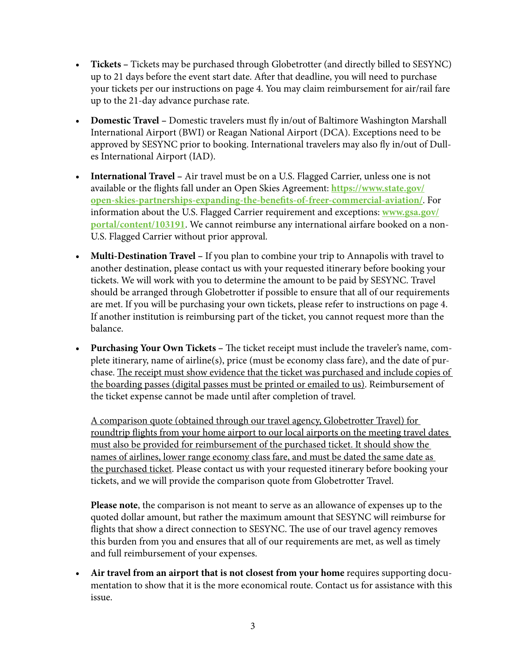- **• Tickets** Tickets may be purchased through Globetrotter (and directly billed to SESYNC) up to 21 days before the event start date. After that deadline, you will need to purchase your tickets per our instructions on page 4. You may claim reimbursement for air/rail fare up to the 21-day advance purchase rate.
- **• Domestic Travel –** Domestic travelers must fly in/out of Baltimore Washington Marshall International Airport (BWI) or Reagan National Airport (DCA). Exceptions need to be approved by SESYNC prior to booking. International travelers may also fly in/out of Dulles International Airport (IAD).
- **• International Travel –** Air travel must be on a U.S. Flagged Carrier, unless one is not available or the flights fall under an Open Skies Agreement: **[https://www.state.gov/](https://www.state.gov/open-skies-partnerships-expanding-the-benefits-of-freer-commercial-aviation/) [open-skies-partnerships-expanding-the-benefits-of-freer-commercial-aviation/](https://www.state.gov/open-skies-partnerships-expanding-the-benefits-of-freer-commercial-aviation/)**. For information about the U.S. Flagged Carrier requirement and exceptions: **[www.gsa.gov/](http://www.gsa.gov/portal/content/103191) [portal/content/103191](http://www.gsa.gov/portal/content/103191)**. We cannot reimburse any international airfare booked on a non-U.S. Flagged Carrier without prior approval.
- **• Multi-Destination Travel –** If you plan to combine your trip to Annapolis with travel to another destination, please contact us with your requested itinerary before booking your tickets. We will work with you to determine the amount to be paid by SESYNC. Travel should be arranged through Globetrotter if possible to ensure that all of our requirements are met. If you will be purchasing your own tickets, please refer to instructions on page 4. If another institution is reimbursing part of the ticket, you cannot request more than the balance.
- **• Purchasing Your Own Tickets –** The ticket receipt must include the traveler's name, complete itinerary, name of airline(s), price (must be economy class fare), and the date of purchase. The receipt must show evidence that the ticket was purchased and include copies of the boarding passes (digital passes must be printed or emailed to us). Reimbursement of the ticket expense cannot be made until after completion of travel.

A comparison quote (obtained through our travel agency, Globetrotter Travel) for roundtrip flights from your home airport to our local airports on the meeting travel dates must also be provided for reimbursement of the purchased ticket. It should show the names of airlines, lower range economy class fare, and must be dated the same date as the purchased ticket. Please contact us with your requested itinerary before booking your tickets, and we will provide the comparison quote from Globetrotter Travel.

**Please note**, the comparison is not meant to serve as an allowance of expenses up to the quoted dollar amount, but rather the maximum amount that SESYNC will reimburse for flights that show a direct connection to SESYNC. The use of our travel agency removes this burden from you and ensures that all of our requirements are met, as well as timely and full reimbursement of your expenses.

**• Air travel from an airport that is not closest from your home** requires supporting documentation to show that it is the more economical route. Contact us for assistance with this issue.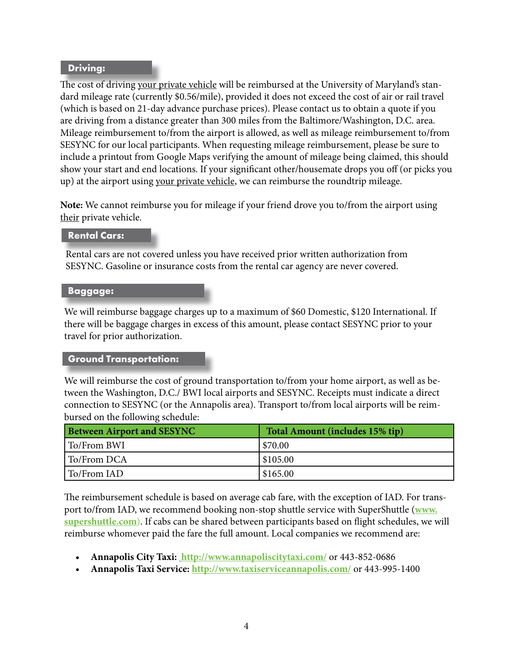#### **Driving:**

The cost of driving your private vehicle will be reimbursed at the University of Maryland's standard mileage rate (currently \$0.56/mile), provided it does not exceed the cost of air or rail travel (which is based on 21-day advance purchase prices). Please contact us to obtain a quote if you are driving from a distance greater than 300 miles from the Baltimore/Washington, D.C. area. Mileage reimbursement to/from the airport is allowed, as well as mileage reimbursement to/from SESYNC for our local participants. When requesting mileage reimbursement, please be sure to include a printout from Google Maps verifying the amount of mileage being claimed, this should show your start and end locations. If your significant other/housemate drops you off (or picks you up) at the airport using your private vehicle, we can reimburse the roundtrip mileage.

**Note:** We cannot reimburse you for mileage if your friend drove you to/from the airport using their private vehicle.

#### **Rental Cars:**

Rental cars are not covered unless you have received prior written authorization from SESYNC. Gasoline or insurance costs from the rental car agency are never covered.

#### **Baggage:**

We will reimburse baggage charges up to a maximum of \$60 Domestic, \$120 International. If there will be baggage charges in excess of this amount, please contact SESYNC prior to your travel for prior authorization.

#### **Ground Transportation:**

We will reimburse the cost of ground transportation to/from your home airport, as well as between the Washington, D.C./ BWI local airports and SESYNC. Receipts must indicate a direct connection to SESYNC (or the Annapolis area). Transport to/from local airports will be reimbursed on the following schedule:

| <b>Between Airport and SESYNC</b> | Total Amount (includes 15% tip) |
|-----------------------------------|---------------------------------|
| To/From BWI                       | \$70.00                         |
| To/From DCA                       | \$105.00                        |
| To/From IAD                       | \$165.00                        |

The reimbursement schedule is based on average cab fare, with the exception of IAD. For transport to/from IAD, we recommend booking non-stop shuttle service with SuperShuttle (**[www.](http://www.supershuttle.com) [supershuttle.com](http://www.supershuttle.com)**). If cabs can be shared between participants based on flight schedules, we will reimburse whomever paid the fare the full amount. Local companies we recommend are:

- **• Annapolis City Taxi: [http://www.annapoliscitytaxi.com/]( http://www.annapoliscitytaxi.com/)** or 443-852-0686
- **• Annapolis Taxi Service: <http://www.taxiserviceannapolis.com/>** or 443-995-1400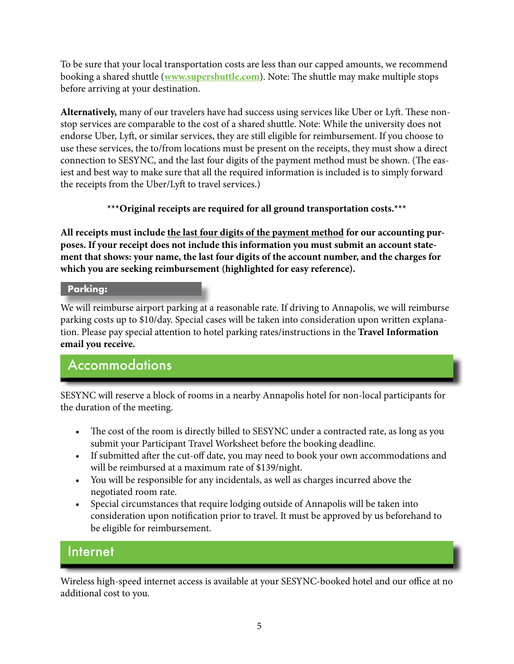To be sure that your local transportation costs are less than our capped amounts, we recommend booking a shared shuttle (**[www.supershuttle.com](http://www.supershuttle.com)**). Note: The shuttle may make multiple stops before arriving at your destination.

**Alternatively,** many of our travelers have had success using services like Uber or Lyft. These nonstop services are comparable to the cost of a shared shuttle. Note: While the university does not endorse Uber, Lyft, or similar services, they are still eligible for reimbursement. If you choose to use these services, the to/from locations must be present on the receipts, they must show a direct connection to SESYNC, and the last four digits of the payment method must be shown. (The easiest and best way to make sure that all the required information is included is to simply forward the receipts from the Uber/Lyft to travel services.)

**\*\*\*Original receipts are required for all ground transportation costs.\*\*\***

**All receipts must include the last four digits of the payment method for our accounting purposes. If your receipt does not include this information you must submit an account statement that shows: your name, the last four digits of the account number, and the charges for which you are seeking reimbursement (highlighted for easy reference).**

#### **Parking:**

We will reimburse airport parking at a reasonable rate. If driving to Annapolis, we will reimburse parking costs up to \$10/day. Special cases will be taken into consideration upon written explanation. Please pay special attention to hotel parking rates/instructions in the **Travel Information email you receive.**

### Accommodations

SESYNC will reserve a block of rooms in a nearby Annapolis hotel for non-local participants for the duration of the meeting.

- The cost of the room is directly billed to SESYNC under a contracted rate, as long as you submit your Participant Travel Worksheet before the booking deadline.
- If submitted after the cut-off date, you may need to book your own accommodations and will be reimbursed at a maximum rate of \$139/night.
- You will be responsible for any incidentals, as well as charges incurred above the negotiated room rate.
- Special circumstances that require lodging outside of Annapolis will be taken into consideration upon notification prior to travel. It must be approved by us beforehand to be eligible for reimbursement.

### Internet

Wireless high-speed internet access is available at your SESYNC-booked hotel and our office at no additional cost to you.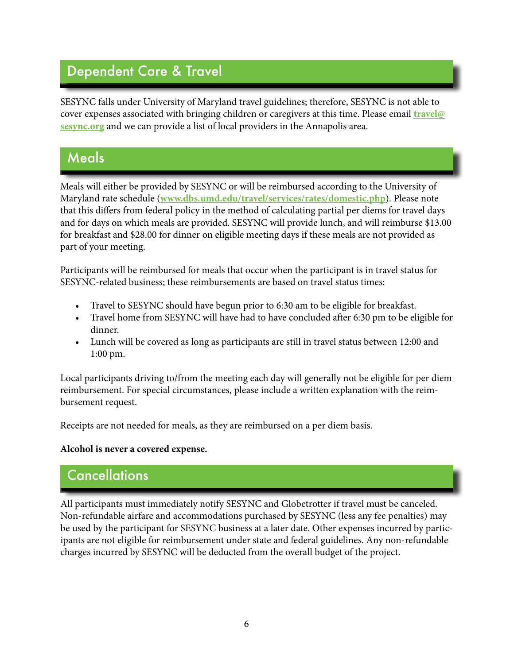# Dependent Care & Travel

SESYNC falls under University of Maryland travel guidelines; therefore, SESYNC is not able to cover expenses associated with bringing children or caregivers at this time. Please email **[travel@](mailto:travel%40sesync.org?subject=) [sesync.org](mailto:travel%40sesync.org?subject=)** and we can provide a list of local providers in the Annapolis area.

### Meals

Meals will either be provided by SESYNC or will be reimbursed according to the University of Maryland rate schedule (**[www.dbs.umd.edu/travel/services/rates/domestic.php](http://www.dbs.umd.edu/travel/services/rates/domestic.php)**). Please note that this differs from federal policy in the method of calculating partial per diems for travel days and for days on which meals are provided. SESYNC will provide lunch, and will reimburse \$13.00 for breakfast and \$28.00 for dinner on eligible meeting days if these meals are not provided as part of your meeting.

Participants will be reimbursed for meals that occur when the participant is in travel status for SESYNC-related business; these reimbursements are based on travel status times:

- Travel to SESYNC should have begun prior to 6:30 am to be eligible for breakfast.
- Travel home from SESYNC will have had to have concluded after 6:30 pm to be eligible for dinner.
- Lunch will be covered as long as participants are still in travel status between 12:00 and 1:00 pm.

Local participants driving to/from the meeting each day will generally not be eligible for per diem reimbursement. For special circumstances, please include a written explanation with the reimbursement request.

Receipts are not needed for meals, as they are reimbursed on a per diem basis.

#### **Alcohol is never a covered expense.**

## **Cancellations**

All participants must immediately notify SESYNC and Globetrotter if travel must be canceled. Non-refundable airfare and accommodations purchased by SESYNC (less any fee penalties) may be used by the participant for SESYNC business at a later date. Other expenses incurred by participants are not eligible for reimbursement under state and federal guidelines. Any non-refundable charges incurred by SESYNC will be deducted from the overall budget of the project.